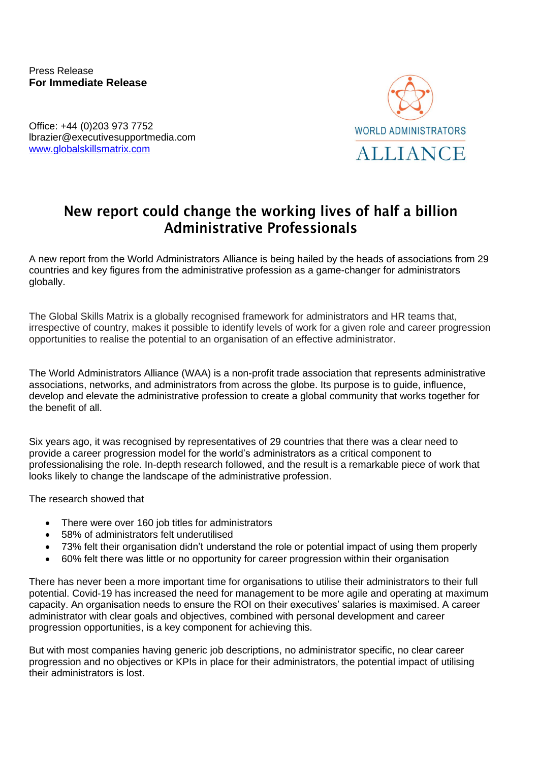Press Release **For Immediate Release**

Office: +44 (0)203 973 7752 lbrazier@executivesupportmedia.com [www.globalskillsmatrix.com](http://www.globalskillsmatrix.com/)



## New report could change the working lives of half a billion Administrative Professionals

A new report from the World Administrators Alliance is being hailed by the heads of associations from 29 countries and key figures from the administrative profession as a game-changer for administrators globally.

The Global Skills Matrix is a globally recognised framework for administrators and HR teams that, irrespective of country, makes it possible to identify levels of work for a given role and career progression opportunities to realise the potential to an organisation of an effective administrator.

The World Administrators Alliance (WAA) is a non-profit trade association that represents administrative associations, networks, and administrators from across the globe. Its purpose is to guide, influence, develop and elevate the administrative profession to create a global community that works together for the benefit of all.

Six years ago, it was recognised by representatives of 29 countries that there was a clear need to provide a career progression model for the world's administrators as a critical component to professionalising the role. In-depth research followed, and the result is a remarkable piece of work that looks likely to change the landscape of the administrative profession.

The research showed that

- There were over 160 job titles for administrators
- 58% of administrators felt underutilised
- 73% felt their organisation didn't understand the role or potential impact of using them properly
- 60% felt there was little or no opportunity for career progression within their organisation

There has never been a more important time for organisations to utilise their administrators to their full potential. Covid-19 has increased the need for management to be more agile and operating at maximum capacity. An organisation needs to ensure the ROI on their executives' salaries is maximised. A career administrator with clear goals and objectives, combined with personal development and career progression opportunities, is a key component for achieving this.

But with most companies having generic job descriptions, no administrator specific, no clear career progression and no objectives or KPIs in place for their administrators, the potential impact of utilising their administrators is lost.